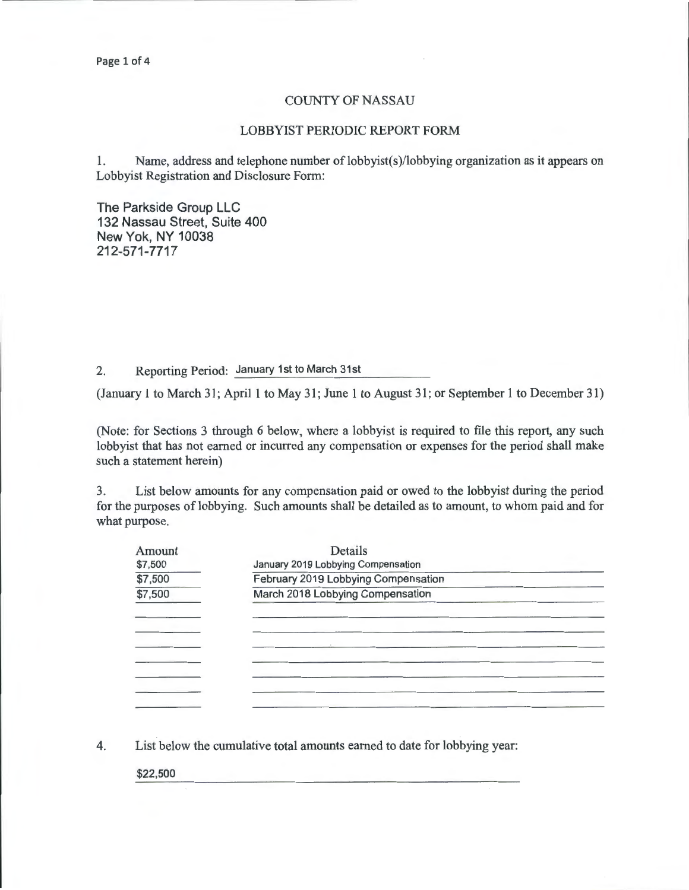## COUNTY OF NASSAU

## LOBBYIST PERIODIC REPORT FORM

1. Name, address and telephone number of lobbyist(s)/lobbying organization as it appears on Lobbyist Registration and Disclosure Form:

The Parkside Group LLC 132 Nassau Street, Suite 400 New Yok, NY 10038 212-571-7717

2. Reporting Period: January 1st to March 31st

(January 1 to March 31; April 1 to May 31; June 1 to August 31 ; or September 1 to December 31)

(Note: for Sections 3 through 6 below, where a lobbyist is required to file this report, any such lobbyist that has not earned or incurred any compensation or expenses for the period shall make such a statement herein)

3. List below amounts for any compensation paid or owed to the lobbyist during the period for the purposes of lobbying. Such amounts shall be detailed as to amount, to whom paid and for what purpose.

| Amount  | Details                             |  |  |  |  |  |
|---------|-------------------------------------|--|--|--|--|--|
| \$7,500 | January 2019 Lobbying Compensation  |  |  |  |  |  |
| \$7,500 | February 2019 Lobbying Compensation |  |  |  |  |  |
| \$7,500 | March 2018 Lobbying Compensation    |  |  |  |  |  |
|         |                                     |  |  |  |  |  |
|         |                                     |  |  |  |  |  |
|         |                                     |  |  |  |  |  |
|         |                                     |  |  |  |  |  |
|         |                                     |  |  |  |  |  |
|         |                                     |  |  |  |  |  |
|         |                                     |  |  |  |  |  |
|         |                                     |  |  |  |  |  |

4. List below the cumulative total amounts earned to date for lobbying year:

\$22,500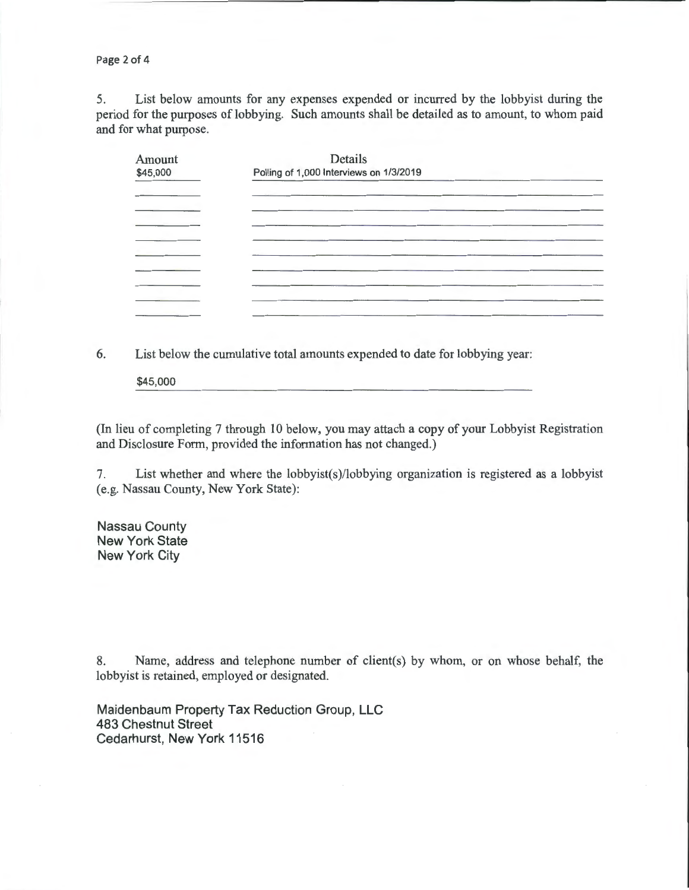Page 2 of 4

5. List below amounts for any expenses expended or incurred by the lobbyist during the period for the purposes of lobbying. Such amounts shall be detailed as to amount, to whom paid and for what purpose.

| Amount   | Details                                 |  |
|----------|-----------------------------------------|--|
| \$45,000 | Polling of 1,000 Interviews on 1/3/2019 |  |
|          |                                         |  |
|          |                                         |  |
|          |                                         |  |
|          |                                         |  |
|          |                                         |  |
|          |                                         |  |
|          |                                         |  |
|          |                                         |  |
|          |                                         |  |
|          |                                         |  |

6. List below the cumulative total amounts expended to date for lobbying year:

\$45,000

(In lieu of completing 7 through 10 below, you may attach a copy of your Lobbyist Registration and Disclosure Form, provided the information has not changed.)

7. List whether and where the lobbyist(s)/lobbying organization is registered as a lobbyist (e.g. Nassau County, New York State):

Nassau County **New York State** New York City

8. Name, address and telephone number of client(s) by whom, or on whose behalf, the lobbyist is retained, employed or designated.

Maidenbaum Property Tax Reduction Group, LLC 483 Chestnut Street Cedarhurst, New York 11516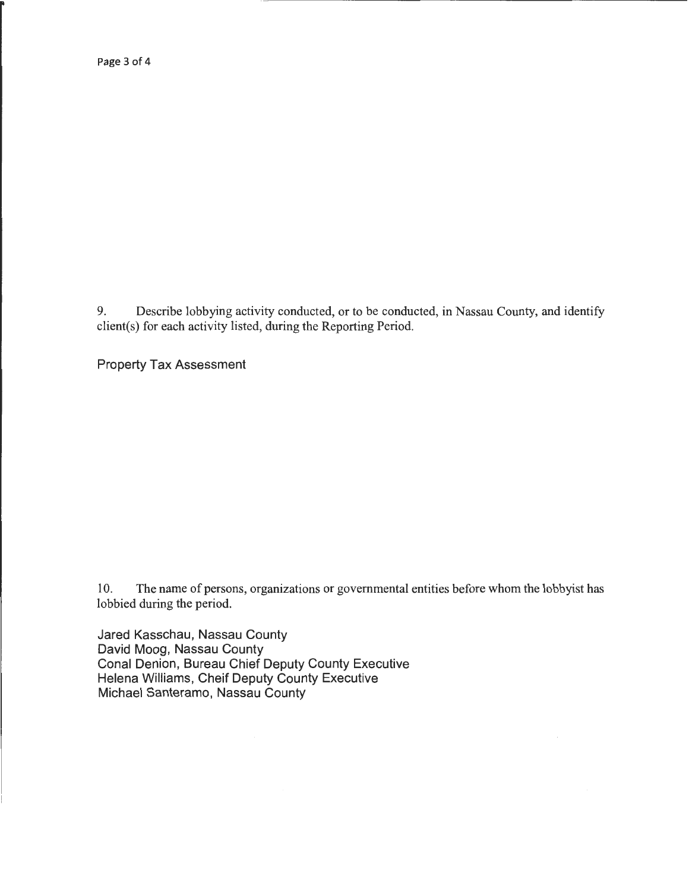Page 3 of 4

9. Describe lobbying activity conducted, or to be conducted, in Nassau County, and identify client(s) for each activity listed, during the Reporting Period.

Property Tax Assessment

10. The name of persons, organizations or governmental entities before whom the lobbyist has lobbied during the period.

Jared Kasschau, Nassau County David Moog, Nassau County Conal Denion, Bureau Chief Deputy County Executive Helena Williams, Cheif Deputy County Executive Michael Santeramo, Nassau County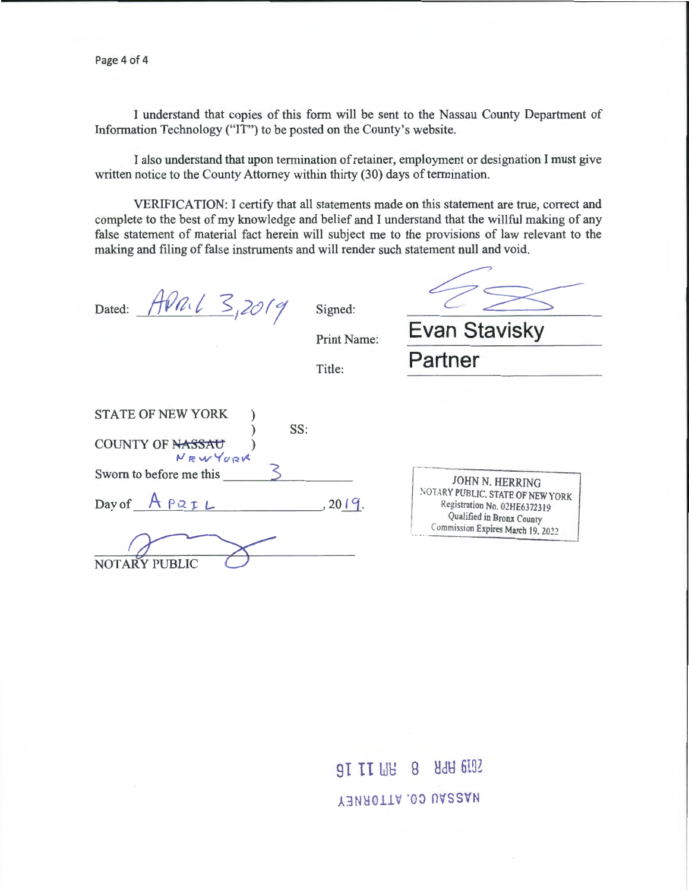I understand that copies of this form will be sent to the Nassau County Department of Information Technology ("IT") to be posted on the County's website.

I also understand that upon termination of retainer, employment or designation I must give written notice to the County Attorney within thirty (30) days of termination.

VERIFICATION: I certify that all statements made on this statement are true, correct and complete to the best of my knowledge and belief and I understand that the willful making of any false statement of material fact herein will subject me to the provisions of law relevant to the making and filing of false instruments and will render such statement null and void.

Dated: APRIL 3,2019

Signed:

42

Print Name: **Evan Stavisky** 

Title: **Partner** 

| JOHN N. HERRING                                                                                                                    |
|------------------------------------------------------------------------------------------------------------------------------------|
| NOTARY PUBLIC, STATE OF NEW YORK<br>Registration No. 02HE6372319<br>Qualified in Bronx County<br>Commission Expires March 19, 2022 |
|                                                                                                                                    |
|                                                                                                                                    |

9I II WB 8 8 HdH 6192 Y3NA0TTA .00 UA22AN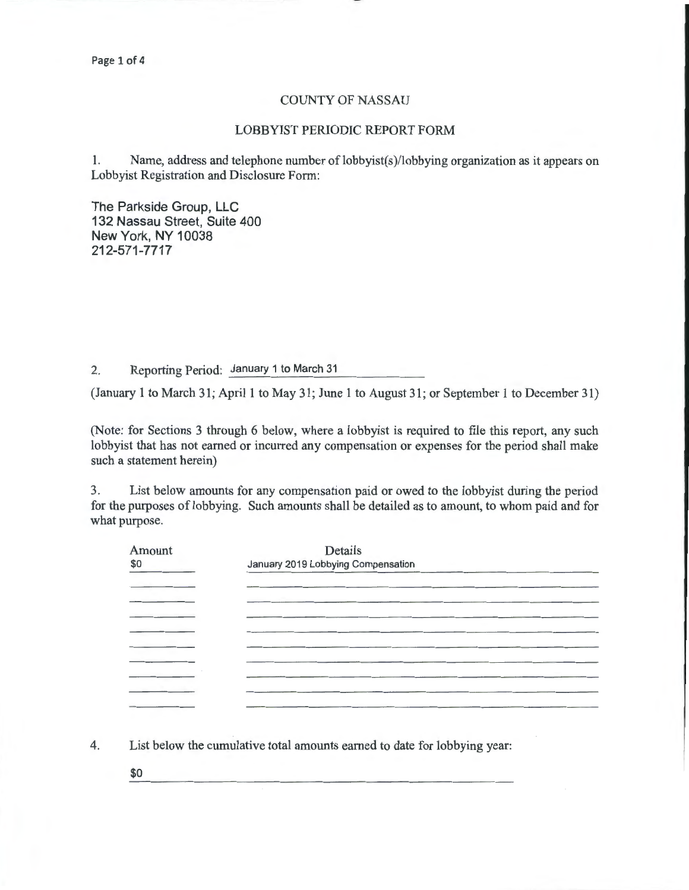## COUNTY OF NASSAU

## LOBBYIST PERIODIC REPORT FORM

I. Name, address and telephone number of lobbyist(s )/lobbying organization as it appears on Lobbyist Registration and Disclosure Form:

The Parkside Group, LLC 132 Nassau Street, Suite 400 New York, NY 10038 212-571-7717

2. Reporting Period: January 1 to March 31

(January 1 to March 31; April 1 to May 31; June I to August 31; or September I to December 31)

(Note: for Sections 3 through 6 below, where a lobbyist is required to file this report, any such lobbyist that has not earned or incurred any compensation or expenses for the period shall make such a statement herein)

3. List below amounts for any compensation paid or owed to the lobbyist during the period for the purposes of lobbying. Such amounts shall be detailed as to amount, to whom paid and for what purpose.

| Amount | Details<br>January 2019 Lobbying Compensation |  |  |  |
|--------|-----------------------------------------------|--|--|--|
|        |                                               |  |  |  |
|        |                                               |  |  |  |
|        |                                               |  |  |  |
|        |                                               |  |  |  |
|        |                                               |  |  |  |
|        |                                               |  |  |  |
|        |                                               |  |  |  |
|        |                                               |  |  |  |
|        |                                               |  |  |  |

4. List below the cumulative total amounts earned to date for lobbying year:

\$0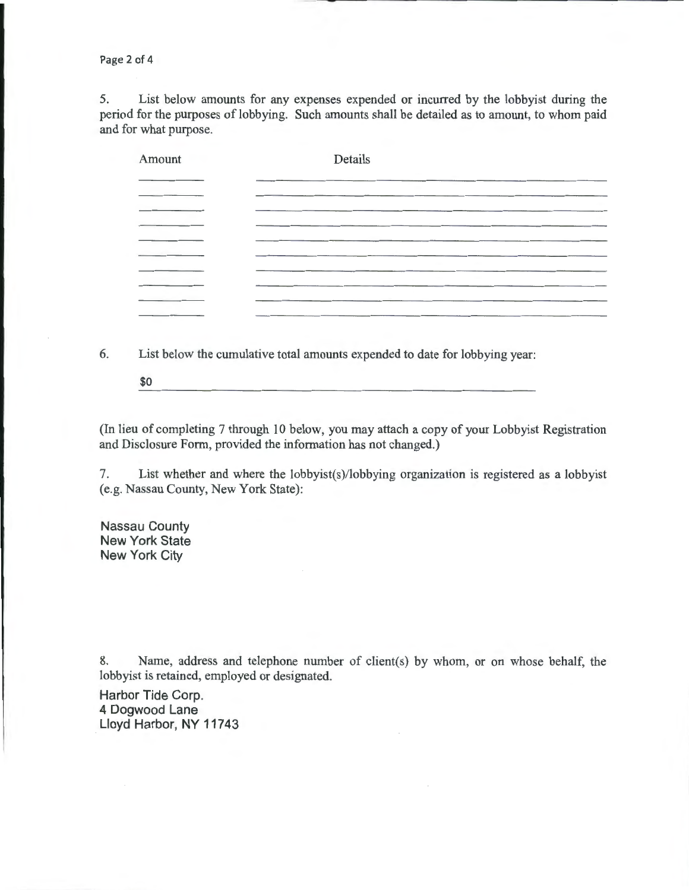Page 2 of 4

5. List below amounts for any expenses expended or incurred by the lobbyist during the period for the purposes of lobbying. Such amounts shall be detailed as to amount, to whom paid and for what purpose.

| Amount  | Details |
|---------|---------|
|         |         |
|         |         |
|         |         |
|         |         |
|         |         |
|         |         |
| _______ |         |

6. List below the cumulative total amounts expended to date for lobbying year:

\$0

(In lieu of completing 7 through 10 below, you may attach a copy of your Lobbyist Registration and Disclosure Form, provided the information has not changed.)

7. List whether and where the lobbyist(s)/lobbying organization is registered as a lobbyist (e.g. Nassau County, New York State):

Nassau County New York State New York City

8. Name, address and telephone number of client(s) by whom, or on whose behalf, the lobbyist is retained, employed or designated.

Harbor Tide Corp. 4 Dogwood Lane Lloyd Harbor, NY 11743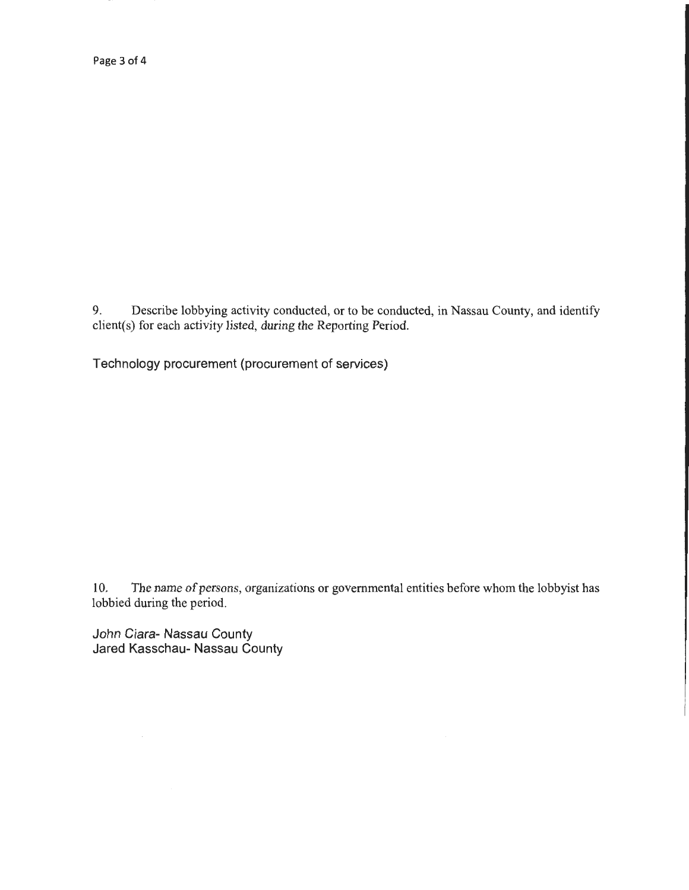Page 3 of 4

9. Describe lobbying activity conducted, or to be conducted, in Nassau County, and identify client(s) for each activity listed, during the Reporting Period.

Technology procurement (procurement of services)

10. The name of persons, organizations or governmental entities before whom the lobbyist has lobbied during the period.

John Ciara- Nassau County Jared Kasschau- Nassau County